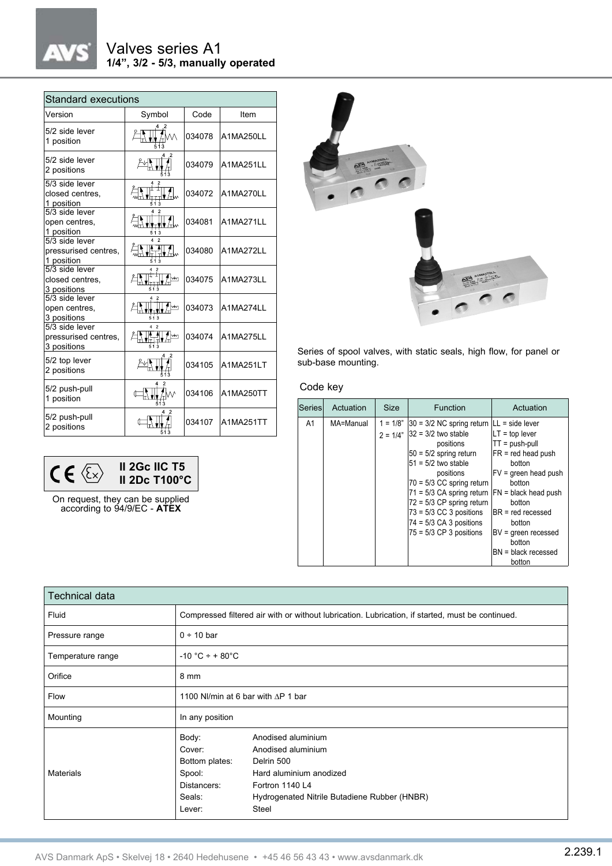#### Valves series A1 **1/4", 3/2 - 5/3, manually operated**

| <b>Standard executions</b>                            |        |        |           |  |  |
|-------------------------------------------------------|--------|--------|-----------|--|--|
| Version                                               | Symbol | Code   | Item      |  |  |
| 5/2 side lever<br>1 position                          |        | 034078 | A1MA250LL |  |  |
| 5/2 side lever<br>2 positions                         |        | 034079 | A1MA251LL |  |  |
| 5/3 side lever<br>closed centres.<br>1 position       |        | 034072 | A1MA270LL |  |  |
| 5/3 side lever<br>open centres,<br>1 position         | 513    | 034081 | A1MA271LL |  |  |
| 5/3 side lever<br>pressurised centres,<br>1 position  | 4<br>2 | 034080 | A1MA272LL |  |  |
| 5/3 side lever<br>closed centres.<br>3 positions      |        | 034075 | A1MA273LL |  |  |
| 5/3 side lever<br>open centres,<br>3 positions        |        | 034073 | A1MA274LL |  |  |
| 5/3 side lever<br>pressurised centres,<br>3 positions | Mм     | 034074 | A1MA275LL |  |  |
| 5/2 top lever<br>2 positions                          |        | 034105 | A1MA251LT |  |  |
| 5/2 push-pull<br>1 position                           |        | 034106 | A1MA250TT |  |  |
| 5/2 push-pull<br>2 positions                          |        | 034107 | A1MA251TT |  |  |



On request, they can be supplied according to 94/9/EC - **ATEX**



Series of spool valves, with static seals, high flow, for panel or sub-base mounting.

#### Code key

| Series | Actuation | Size       | Function                                                                                                                                                                                                                                               | Actuation                                                                                                   |
|--------|-----------|------------|--------------------------------------------------------------------------------------------------------------------------------------------------------------------------------------------------------------------------------------------------------|-------------------------------------------------------------------------------------------------------------|
| A1     | MA=Manual | $2 = 1/4"$ | $1 = 1/8$ " 30 = 3/2 NC spring return $ LL $ = side lever<br>32 = 3/2 two stable<br>positions<br>$50 = 5/2$ spring return<br>$51 = 5/2$ two stable<br>positions<br>$70 = 5/3$ CC spring return<br>$71 = 5/3$ CA spring return $ FN $ = black head push | $LT = top lever$<br>$TT = push-pull$<br>FR = red head push<br>botton<br>$FV =$ qreen head push<br>botton    |
|        |           |            | $72 = 5/3$ CP spring return<br>$73 = 5/3$ CC 3 positions<br>$74 = 5/3$ CA 3 positions<br>$75 = 5/3$ CP 3 positions                                                                                                                                     | botton<br>$BR = red$ recessed<br>botton<br>BV = green recessed<br>botton<br>$BN = black$ recessed<br>botton |

| Technical data    |                                                                                                                                                                                                                                                 |  |  |  |
|-------------------|-------------------------------------------------------------------------------------------------------------------------------------------------------------------------------------------------------------------------------------------------|--|--|--|
| Fluid             | Compressed filtered air with or without lubrication. Lubrication, if started, must be continued.                                                                                                                                                |  |  |  |
| Pressure range    | $0 \div 10$ bar                                                                                                                                                                                                                                 |  |  |  |
| Temperature range | $-10 °C + +80 °C$                                                                                                                                                                                                                               |  |  |  |
| Orifice           | 8 mm                                                                                                                                                                                                                                            |  |  |  |
| Flow              | 1100 NI/min at 6 bar with AP 1 bar                                                                                                                                                                                                              |  |  |  |
| Mounting          | In any position                                                                                                                                                                                                                                 |  |  |  |
| <b>Materials</b>  | Body:<br>Anodised aluminium<br>Cover:<br>Anodised aluminium<br>Bottom plates:<br>Delrin 500<br>Spool:<br>Hard aluminium anodized<br>Fortron 1140 L4<br>Distancers:<br>Seals:<br>Hydrogenated Nitrile Butadiene Rubber (HNBR)<br>Steel<br>Lever: |  |  |  |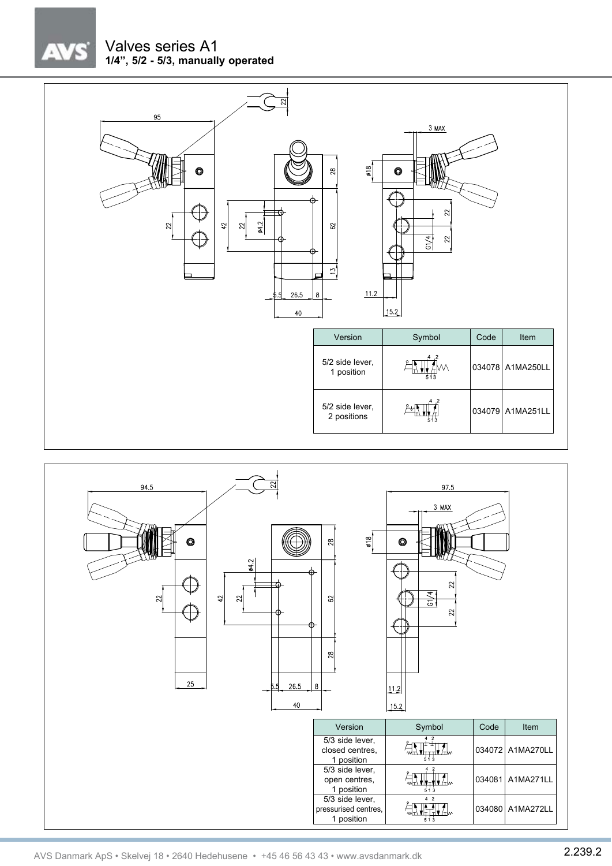# $\sqrt{7}$

#### Valves series A1 **1/4", 5/2 - 5/3, manually operated**





AVS Danmark ApS • Skelvej 18 • 2640 Hedehusene • +45 46 56 43 43 • www.avsdanmark.dk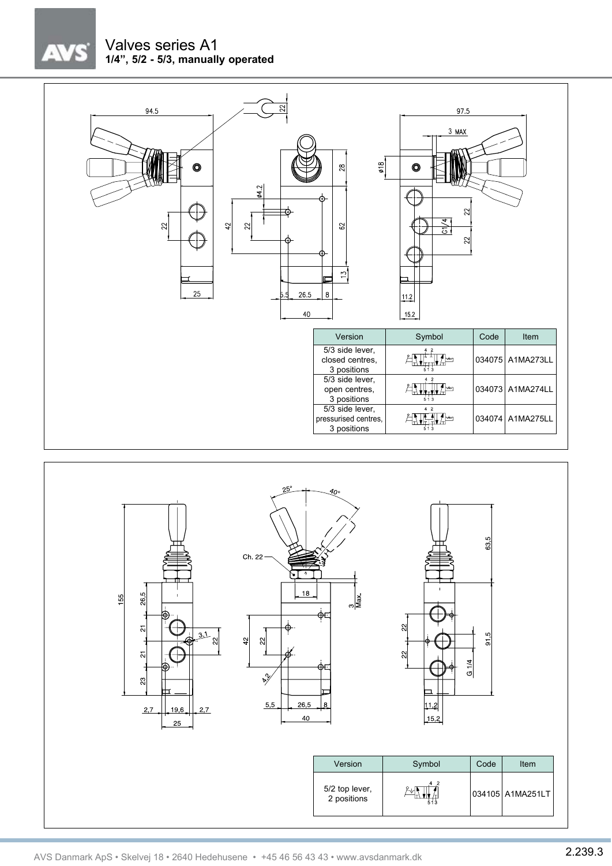## $\lambda$

### Valves series A1 **1/4", 5/2 - 5/3, manually operated**



 $2,7$ 

 $19,6$ 

 $25$ 

 $2,7$ 

 $5,5$ 

 $26.5$ 

 $40$ 

Version | Symbol | Code | Item

 $\frac{5}{2}$  top lever,  $\frac{24\sqrt{11}}{44}$   $\frac{1}{44}$  034105 A1MA251LT

5/2 top lever,